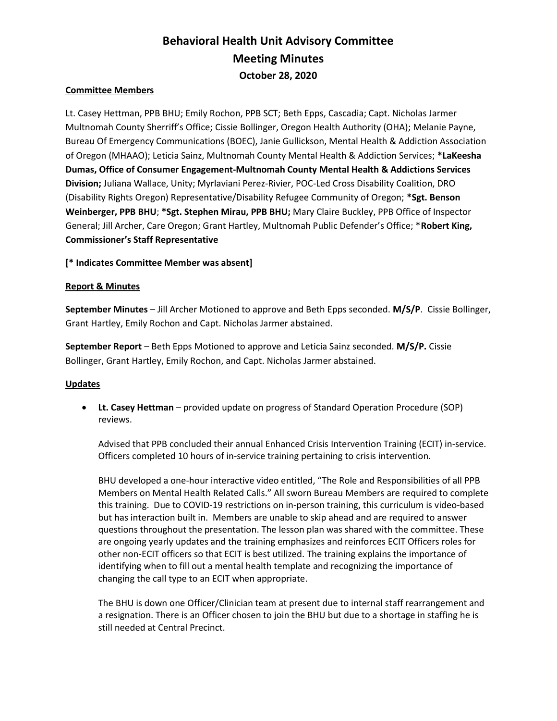# Behavioral Health Unit Advisory Committee Meeting Minutes October 28, 2020

#### Committee Members

Lt. Casey Hettman, PPB BHU; Emily Rochon, PPB SCT; Beth Epps, Cascadia; Capt. Nicholas Jarmer Multnomah County Sherriff's Office; Cissie Bollinger, Oregon Health Authority (OHA); Melanie Payne, Bureau Of Emergency Communications (BOEC), Janie Gullickson, Mental Health & Addiction Association of Oregon (MHAAO); Leticia Sainz, Multnomah County Mental Health & Addiction Services; \*LaKeesha Dumas, Office of Consumer Engagement-Multnomah County Mental Health & Addictions Services Division; Juliana Wallace, Unity; Myrlaviani Perez-Rivier, POC-Led Cross Disability Coalition, DRO (Disability Rights Oregon) Representative/Disability Refugee Community of Oregon; \*Sgt. Benson Weinberger, PPB BHU; \*Sgt. Stephen Mirau, PPB BHU; Mary Claire Buckley, PPB Office of Inspector General; Jill Archer, Care Oregon; Grant Hartley, Multnomah Public Defender's Office; \*Robert King, Commissioner's Staff Representative

[\* Indicates Committee Member was absent]

#### Report & Minutes

September Minutes – Jill Archer Motioned to approve and Beth Epps seconded. M/S/P. Cissie Bollinger, Grant Hartley, Emily Rochon and Capt. Nicholas Jarmer abstained.

September Report – Beth Epps Motioned to approve and Leticia Sainz seconded. M/S/P. Cissie Bollinger, Grant Hartley, Emily Rochon, and Capt. Nicholas Jarmer abstained.

#### **Updates**

 Lt. Casey Hettman – provided update on progress of Standard Operation Procedure (SOP) reviews.

Advised that PPB concluded their annual Enhanced Crisis Intervention Training (ECIT) in-service. Officers completed 10 hours of in-service training pertaining to crisis intervention.

BHU developed a one-hour interactive video entitled, "The Role and Responsibilities of all PPB Members on Mental Health Related Calls." All sworn Bureau Members are required to complete this training. Due to COVID-19 restrictions on in-person training, this curriculum is video-based but has interaction built in. Members are unable to skip ahead and are required to answer questions throughout the presentation. The lesson plan was shared with the committee. These are ongoing yearly updates and the training emphasizes and reinforces ECIT Officers roles for other non-ECIT officers so that ECIT is best utilized. The training explains the importance of identifying when to fill out a mental health template and recognizing the importance of changing the call type to an ECIT when appropriate.

The BHU is down one Officer/Clinician team at present due to internal staff rearrangement and a resignation. There is an Officer chosen to join the BHU but due to a shortage in staffing he is still needed at Central Precinct.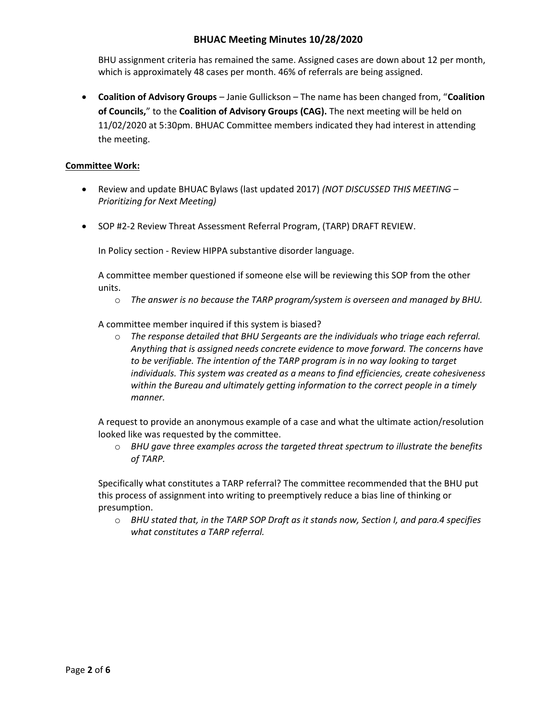BHU assignment criteria has remained the same. Assigned cases are down about 12 per month, which is approximately 48 cases per month. 46% of referrals are being assigned.

• Coalition of Advisory Groups – Janie Gullickson – The name has been changed from, "Coalition of Councils," to the Coalition of Advisory Groups (CAG). The next meeting will be held on 11/02/2020 at 5:30pm. BHUAC Committee members indicated they had interest in attending the meeting.

## Committee Work:

- Review and update BHUAC Bylaws (last updated 2017) (NOT DISCUSSED THIS MEETING Prioritizing for Next Meeting)
- SOP #2-2 Review Threat Assessment Referral Program, (TARP) DRAFT REVIEW.

In Policy section - Review HIPPA substantive disorder language.

A committee member questioned if someone else will be reviewing this SOP from the other units.

 $\circ$  The answer is no because the TARP program/system is overseen and managed by BHU.

A committee member inquired if this system is biased?

 $\circ$  The response detailed that BHU Sergeants are the individuals who triage each referral. Anything that is assigned needs concrete evidence to move forward. The concerns have to be verifiable. The intention of the TARP program is in no way looking to target individuals. This system was created as a means to find efficiencies, create cohesiveness within the Bureau and ultimately getting information to the correct people in a timely manner.

A request to provide an anonymous example of a case and what the ultimate action/resolution looked like was requested by the committee.

 $\circ$  BHU gave three examples across the targeted threat spectrum to illustrate the benefits of TARP.

Specifically what constitutes a TARP referral? The committee recommended that the BHU put this process of assignment into writing to preemptively reduce a bias line of thinking or presumption.

 $\circ$  BHU stated that, in the TARP SOP Draft as it stands now, Section I, and para.4 specifies what constitutes a TARP referral.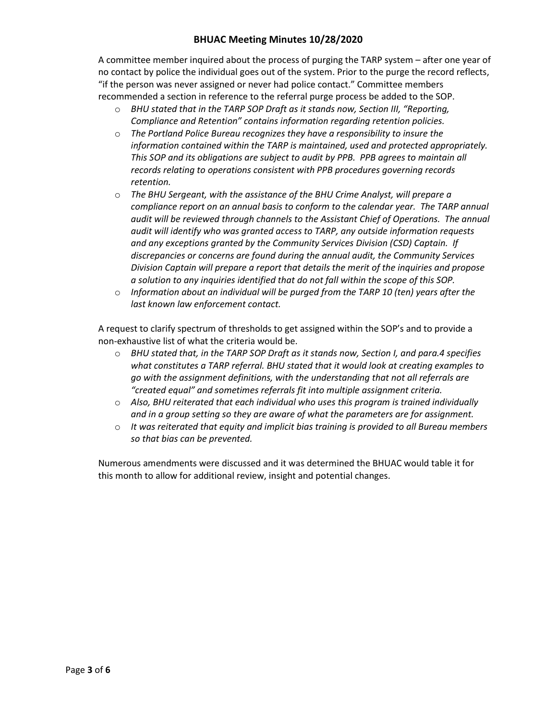A committee member inquired about the process of purging the TARP system – after one year of no contact by police the individual goes out of the system. Prior to the purge the record reflects, "if the person was never assigned or never had police contact." Committee members recommended a section in reference to the referral purge process be added to the SOP.

- $\circ$  BHU stated that in the TARP SOP Draft as it stands now, Section III, "Reporting, Compliance and Retention" contains information regarding retention policies.
- o The Portland Police Bureau recognizes they have a responsibility to insure the information contained within the TARP is maintained, used and protected appropriately. This SOP and its obligations are subject to audit by PPB. PPB agrees to maintain all records relating to operations consistent with PPB procedures governing records retention.
- o The BHU Sergeant, with the assistance of the BHU Crime Analyst, will prepare a compliance report on an annual basis to conform to the calendar year. The TARP annual audit will be reviewed through channels to the Assistant Chief of Operations. The annual audit will identify who was granted access to TARP, any outside information requests and any exceptions granted by the Community Services Division (CSD) Captain. If discrepancies or concerns are found during the annual audit, the Community Services Division Captain will prepare a report that details the merit of the inquiries and propose a solution to any inquiries identified that do not fall within the scope of this SOP.
- $\circ$  Information about an individual will be purged from the TARP 10 (ten) years after the last known law enforcement contact.

A request to clarify spectrum of thresholds to get assigned within the SOP's and to provide a non-exhaustive list of what the criteria would be.

- $\circ$  BHU stated that, in the TARP SOP Draft as it stands now, Section I, and para.4 specifies what constitutes a TARP referral. BHU stated that it would look at creating examples to go with the assignment definitions, with the understanding that not all referrals are "created equal" and sometimes referrals fit into multiple assignment criteria.
- $\circ$  Also, BHU reiterated that each individual who uses this program is trained individually and in a group setting so they are aware of what the parameters are for assignment.
- $\circ$  It was reiterated that equity and implicit bias training is provided to all Bureau members so that bias can be prevented.

Numerous amendments were discussed and it was determined the BHUAC would table it for this month to allow for additional review, insight and potential changes.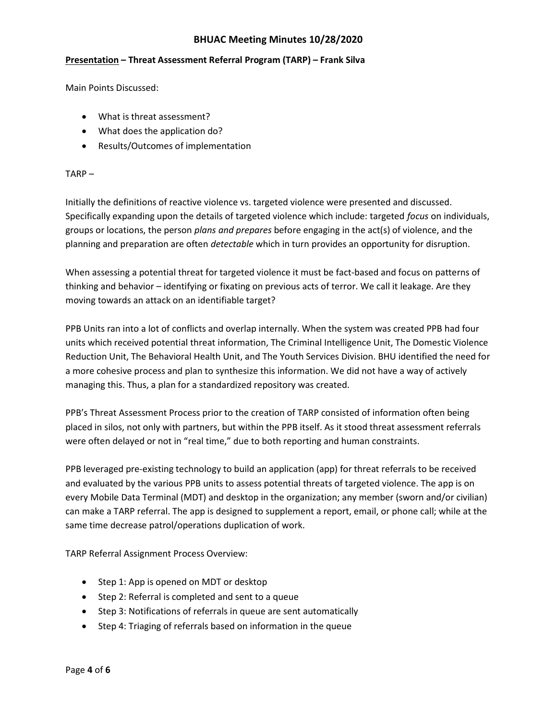## Presentation – Threat Assessment Referral Program (TARP) – Frank Silva

Main Points Discussed:

- What is threat assessment?
- What does the application do?
- Results/Outcomes of implementation

#### TARP –

Initially the definitions of reactive violence vs. targeted violence were presented and discussed. Specifically expanding upon the details of targeted violence which include: targeted focus on individuals, groups or locations, the person plans and prepares before engaging in the act(s) of violence, and the planning and preparation are often detectable which in turn provides an opportunity for disruption.

When assessing a potential threat for targeted violence it must be fact-based and focus on patterns of thinking and behavior – identifying or fixating on previous acts of terror. We call it leakage. Are they moving towards an attack on an identifiable target?

PPB Units ran into a lot of conflicts and overlap internally. When the system was created PPB had four units which received potential threat information, The Criminal Intelligence Unit, The Domestic Violence Reduction Unit, The Behavioral Health Unit, and The Youth Services Division. BHU identified the need for a more cohesive process and plan to synthesize this information. We did not have a way of actively managing this. Thus, a plan for a standardized repository was created.

PPB's Threat Assessment Process prior to the creation of TARP consisted of information often being placed in silos, not only with partners, but within the PPB itself. As it stood threat assessment referrals were often delayed or not in "real time," due to both reporting and human constraints.

PPB leveraged pre-existing technology to build an application (app) for threat referrals to be received and evaluated by the various PPB units to assess potential threats of targeted violence. The app is on every Mobile Data Terminal (MDT) and desktop in the organization; any member (sworn and/or civilian) can make a TARP referral. The app is designed to supplement a report, email, or phone call; while at the same time decrease patrol/operations duplication of work.

TARP Referral Assignment Process Overview:

- Step 1: App is opened on MDT or desktop
- Step 2: Referral is completed and sent to a queue
- Step 3: Notifications of referrals in queue are sent automatically
- Step 4: Triaging of referrals based on information in the queue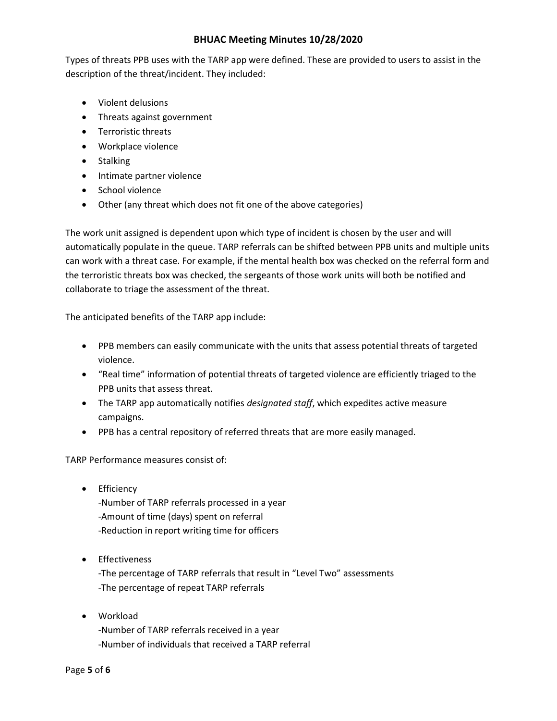Types of threats PPB uses with the TARP app were defined. These are provided to users to assist in the description of the threat/incident. They included:

- Violent delusions
- Threats against government
- Terroristic threats
- Workplace violence
- Stalking
- Intimate partner violence
- School violence
- Other (any threat which does not fit one of the above categories)

The work unit assigned is dependent upon which type of incident is chosen by the user and will automatically populate in the queue. TARP referrals can be shifted between PPB units and multiple units can work with a threat case. For example, if the mental health box was checked on the referral form and the terroristic threats box was checked, the sergeants of those work units will both be notified and collaborate to triage the assessment of the threat.

The anticipated benefits of the TARP app include:

- PPB members can easily communicate with the units that assess potential threats of targeted violence.
- "Real time" information of potential threats of targeted violence are efficiently triaged to the PPB units that assess threat.
- The TARP app automatically notifies *designated staff*, which expedites active measure campaigns.
- PPB has a central repository of referred threats that are more easily managed.

TARP Performance measures consist of:

**•** Efficiency

-Number of TARP referrals processed in a year -Amount of time (days) spent on referral -Reduction in report writing time for officers

**•** Effectiveness

-The percentage of TARP referrals that result in "Level Two" assessments -The percentage of repeat TARP referrals

 Workload -Number of TARP referrals received in a year -Number of individuals that received a TARP referral